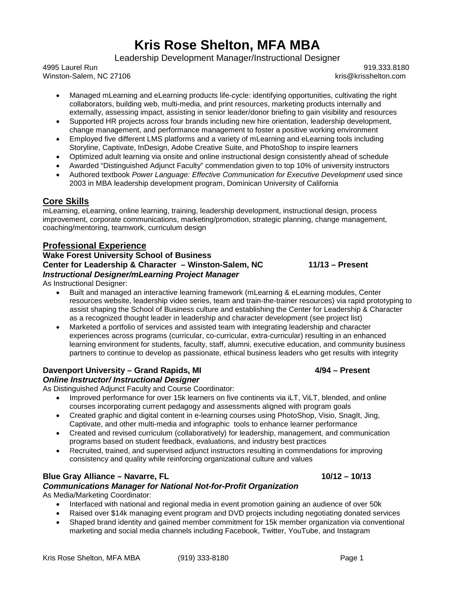# **Kris Rose Shelton, MFA MBA**

Leadership Development Manager/Instructional Designer

4995 Laurel Run 919.333.8180 Winston-Salem, NC 27106 known and the community of the community of the community of the community of the community of the community of the community of the community of the community of the community of the community of t

- Managed mLearning and eLearning products life-cycle: identifying opportunities, cultivating the right collaborators, building web, multi-media, and print resources, marketing products internally and externally, assessing impact, assisting in senior leader/donor briefing to gain visibility and resources
- Supported HR projects across four brands including new hire orientation, leadership development, change management, and performance management to foster a positive working environment
- Employed five different LMS platforms and a variety of mLearning and eLearning tools including Storyline, Captivate, InDesign, Adobe Creative Suite, and PhotoShop to inspire learners
- Optimized adult learning via onsite and online instructional design consistently ahead of schedule
- Awarded "Distinguished Adjunct Faculty" commendation given to top 10% of university instructors
- Authored textbook *Power Language: Effective Communication for Executive Development* used since 2003 in MBA leadership development program, Dominican University of California

# **Core Skills**

mLearning, eLearning, online learning, training, leadership development, instructional design, process improvement, corporate communications, marketing/promotion, strategic planning, change management, coaching/mentoring, teamwork, curriculum design

# **Professional Experience**

# **Wake Forest University School of Business Center for Leadership & Character – Winston-Salem, NC 11/13 – Present** *Instructional Designer/mLearning Project Manager*

As Instructional Designer:

- Built and managed an interactive learning framework (mLearning & eLearning modules, Center resources website, leadership video series, team and train-the-trainer resources) via rapid prototyping to assist shaping the School of Business culture and establishing the Center for Leadership & Character as a recognized thought leader in leadership and character development (see project list)
- Marketed a portfolio of services and assisted team with integrating leadership and character experiences across programs (curricular, co-curricular, extra-curricular) resulting in an enhanced learning environment for students, faculty, staff, alumni, executive education, and community business partners to continue to develop as passionate, ethical business leaders who get results with integrity

# **Davenport University – Grand Rapids, MI 4/94 – Present**

# *Online Instructor/ Instructional Designer*

As Distinguished Adjunct Faculty and Course Coordinator:

- Improved performance for over 15k learners on five continents via iLT, ViLT, blended, and online courses incorporating current pedagogy and assessments aligned with program goals
- Created graphic and digital content in e-learning courses using PhotoShop, Visio, SnagIt, Jing, Captivate, and other multi-media and infographic tools to enhance learner performance
- Created and revised curriculum (collaboratively) for leadership, management, and communication programs based on student feedback, evaluations, and industry best practices
- Recruited, trained, and supervised adjunct instructors resulting in commendations for improving consistency and quality while reinforcing organizational culture and values

# **Blue Gray Alliance – Navarre, FL 10/12 – 10/13**

### *Communications Manager for National Not-for-Profit Organization*

As Media/Marketing Coordinator:

- Interfaced with national and regional media in event promotion gaining an audience of over 50k
- Raised over \$14k managing event program and DVD projects including negotiating donated services
- Shaped brand identity and gained member commitment for 15k member organization via conventional marketing and social media channels including Facebook, Twitter, YouTube, and Instagram